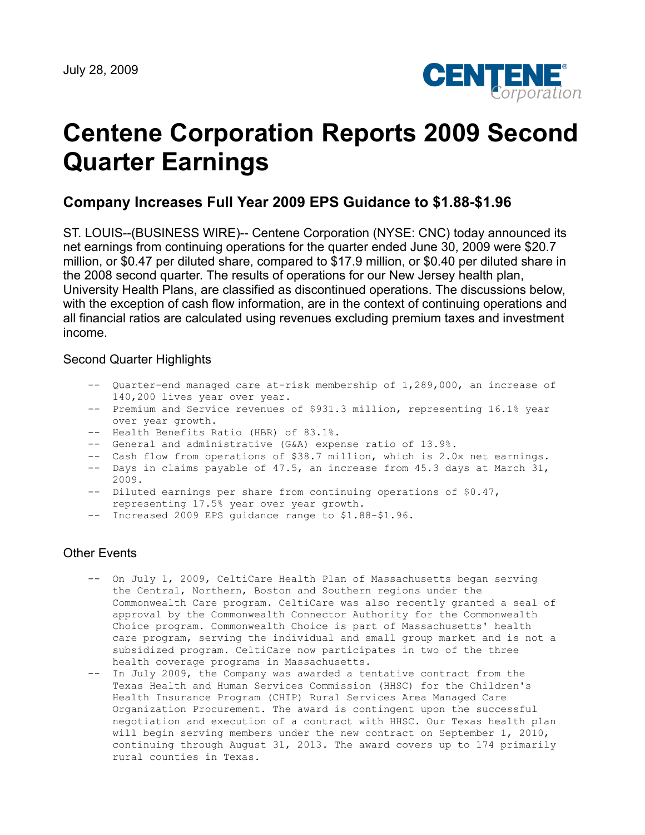

# **Centene Corporation Reports 2009 Second Quarter Earnings**

## **Company Increases Full Year 2009 EPS Guidance to \$1.88-\$1.96**

ST. LOUIS--(BUSINESS WIRE)-- Centene Corporation (NYSE: CNC) today announced its net earnings from continuing operations for the quarter ended June 30, 2009 were \$20.7 million, or \$0.47 per diluted share, compared to \$17.9 million, or \$0.40 per diluted share in the 2008 second quarter. The results of operations for our New Jersey health plan, University Health Plans, are classified as discontinued operations. The discussions below, with the exception of cash flow information, are in the context of continuing operations and all financial ratios are calculated using revenues excluding premium taxes and investment income.

#### Second Quarter Highlights

- -- Quarter-end managed care at-risk membership of 1,289,000, an increase of 140,200 lives year over year.
- -- Premium and Service revenues of \$931.3 million, representing 16.1% year over year growth.
- -- Health Benefits Ratio (HBR) of 83.1%.
- -- General and administrative (G&A) expense ratio of 13.9%.
- -- Cash flow from operations of \$38.7 million, which is 2.0x net earnings.
- -- Days in claims payable of 47.5, an increase from 45.3 days at March 31, 2009.
- -- Diluted earnings per share from continuing operations of \$0.47, representing 17.5% year over year growth.
- -- Increased 2009 EPS guidance range to \$1.88-\$1.96.

### Other Events

- -- On July 1, 2009, CeltiCare Health Plan of Massachusetts began serving the Central, Northern, Boston and Southern regions under the Commonwealth Care program. CeltiCare was also recently granted a seal of approval by the Commonwealth Connector Authority for the Commonwealth Choice program. Commonwealth Choice is part of Massachusetts' health care program, serving the individual and small group market and is not a subsidized program. CeltiCare now participates in two of the three health coverage programs in Massachusetts.
- -- In July 2009, the Company was awarded a tentative contract from the Texas Health and Human Services Commission (HHSC) for the Children's Health Insurance Program (CHIP) Rural Services Area Managed Care Organization Procurement. The award is contingent upon the successful negotiation and execution of a contract with HHSC. Our Texas health plan will begin serving members under the new contract on September 1, 2010, continuing through August 31, 2013. The award covers up to 174 primarily rural counties in Texas.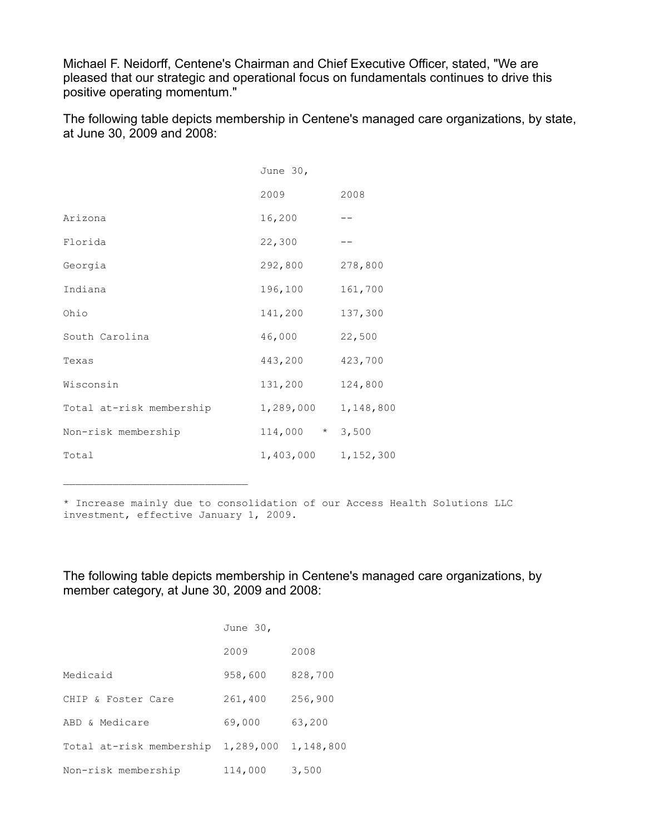Michael F. Neidorff, Centene's Chairman and Chief Executive Officer, stated, "We are pleased that our strategic and operational focus on fundamentals continues to drive this positive operating momentum."

The following table depicts membership in Centene's managed care organizations, by state, at June 30, 2009 and 2008:

|                          | June 30,           |           |
|--------------------------|--------------------|-----------|
|                          | 2009               | 2008      |
| Arizona                  | 16,200             |           |
| Florida                  | 22,300             |           |
| Georgia                  | 292,800            | 278,800   |
| Indiana                  | 196,100            | 161,700   |
| Ohio                     | 141,200            | 137,300   |
| South Carolina           | 46,000             | 22,500    |
| Texas                    | 443,200            | 423,700   |
| Wisconsin                | 131,200            | 124,800   |
| Total at-risk membership | 1,289,000          | 1,148,800 |
| Non-risk membership      | 114,000<br>$\star$ | 3,500     |
| Total                    | 1,403,000          | 1,152,300 |

\* Increase mainly due to consolidation of our Access Health Solutions LLC investment, effective January 1, 2009.

The following table depicts membership in Centene's managed care organizations, by member category, at June 30, 2009 and 2008:

|                          | June 30,  |           |
|--------------------------|-----------|-----------|
|                          | 2009      | 2008      |
| Medicaid                 | 958,600   | 828,700   |
| CHIP & Foster Care       | 261,400   | 256,900   |
| ABD & Medicare           | 69,000    | 63,200    |
| Total at-risk membership | 1,289,000 | 1,148,800 |
| Non-risk membership      | 114,000   | 3,500     |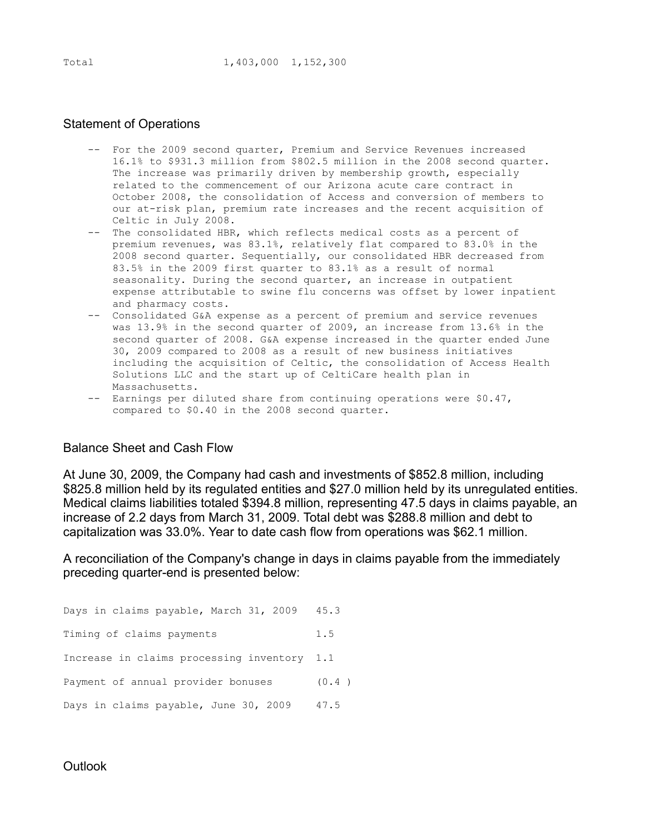#### Statement of Operations

- -- For the 2009 second quarter, Premium and Service Revenues increased 16.1% to \$931.3 million from \$802.5 million in the 2008 second quarter. The increase was primarily driven by membership growth, especially related to the commencement of our Arizona acute care contract in October 2008, the consolidation of Access and conversion of members to our at-risk plan, premium rate increases and the recent acquisition of Celtic in July 2008.
- -- The consolidated HBR, which reflects medical costs as a percent of premium revenues, was 83.1%, relatively flat compared to 83.0% in the 2008 second quarter. Sequentially, our consolidated HBR decreased from 83.5% in the 2009 first quarter to 83.1% as a result of normal seasonality. During the second quarter, an increase in outpatient expense attributable to swine flu concerns was offset by lower inpatient and pharmacy costs.
- -- Consolidated G&A expense as a percent of premium and service revenues was 13.9% in the second quarter of 2009, an increase from 13.6% in the second quarter of 2008. G&A expense increased in the quarter ended June 30, 2009 compared to 2008 as a result of new business initiatives including the acquisition of Celtic, the consolidation of Access Health Solutions LLC and the start up of CeltiCare health plan in Massachusetts.
- -- Earnings per diluted share from continuing operations were \$0.47, compared to \$0.40 in the 2008 second quarter.

#### Balance Sheet and Cash Flow

At June 30, 2009, the Company had cash and investments of \$852.8 million, including \$825.8 million held by its regulated entities and \$27.0 million held by its unregulated entities. Medical claims liabilities totaled \$394.8 million, representing 47.5 days in claims payable, an increase of 2.2 days from March 31, 2009. Total debt was \$288.8 million and debt to capitalization was 33.0%. Year to date cash flow from operations was \$62.1 million.

A reconciliation of the Company's change in days in claims payable from the immediately preceding quarter-end is presented below:

Days in claims payable, March 31, 2009 45.3 Timing of claims payments 1.5 Increase in claims processing inventory 1.1 Payment of annual provider bonuses (0.4) Days in claims payable, June 30, 2009 47.5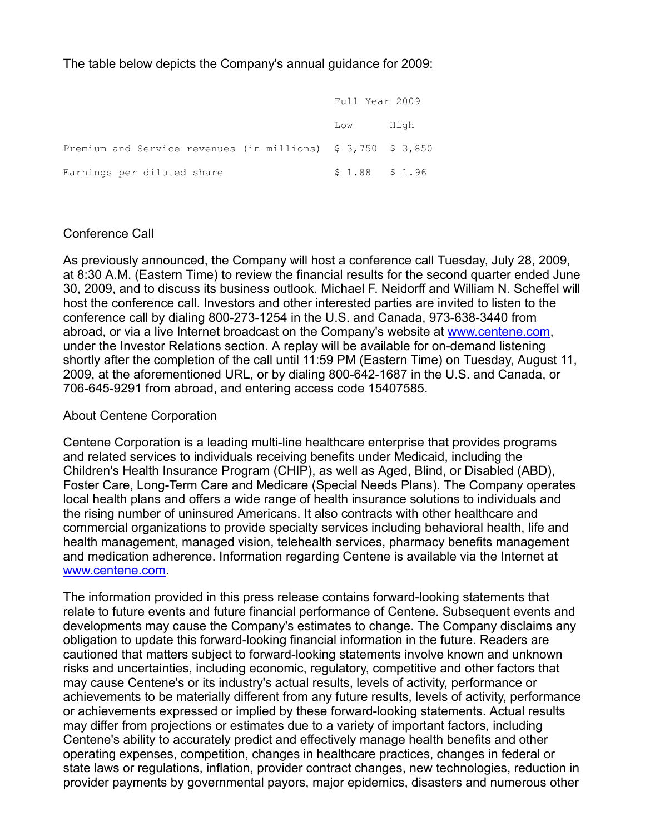The table below depicts the Company's annual guidance for 2009:

|                                                              | Full Year 2009  |      |  |  |
|--------------------------------------------------------------|-----------------|------|--|--|
|                                                              | Low             | High |  |  |
| Premium and Service revenues (in millions) \$ 3,750 \$ 3,850 |                 |      |  |  |
| Earnings per diluted share                                   | $$1.88$ $$1.96$ |      |  |  |

### Conference Call

As previously announced, the Company will host a conference call Tuesday, July 28, 2009, at 8:30 A.M. (Eastern Time) to review the financial results for the second quarter ended June 30, 2009, and to discuss its business outlook. Michael F. Neidorff and William N. Scheffel will host the conference call. Investors and other interested parties are invited to listen to the conference call by dialing 800-273-1254 in the U.S. and Canada, 973-638-3440 from abroad, or via a live Internet broadcast on the Company's website at [www.centene.com,](http://www.centene.com/) under the Investor Relations section. A replay will be available for on-demand listening shortly after the completion of the call until 11:59 PM (Eastern Time) on Tuesday, August 11, 2009, at the aforementioned URL, or by dialing 800-642-1687 in the U.S. and Canada, or 706-645-9291 from abroad, and entering access code 15407585.

#### About Centene Corporation

Centene Corporation is a leading multi-line healthcare enterprise that provides programs and related services to individuals receiving benefits under Medicaid, including the Children's Health Insurance Program (CHIP), as well as Aged, Blind, or Disabled (ABD), Foster Care, Long-Term Care and Medicare (Special Needs Plans). The Company operates local health plans and offers a wide range of health insurance solutions to individuals and the rising number of uninsured Americans. It also contracts with other healthcare and commercial organizations to provide specialty services including behavioral health, life and health management, managed vision, telehealth services, pharmacy benefits management and medication adherence. Information regarding Centene is available via the Internet at [www.centene.com.](http://www.centene.com/)

The information provided in this press release contains forward-looking statements that relate to future events and future financial performance of Centene. Subsequent events and developments may cause the Company's estimates to change. The Company disclaims any obligation to update this forward-looking financial information in the future. Readers are cautioned that matters subject to forward-looking statements involve known and unknown risks and uncertainties, including economic, regulatory, competitive and other factors that may cause Centene's or its industry's actual results, levels of activity, performance or achievements to be materially different from any future results, levels of activity, performance or achievements expressed or implied by these forward-looking statements. Actual results may differ from projections or estimates due to a variety of important factors, including Centene's ability to accurately predict and effectively manage health benefits and other operating expenses, competition, changes in healthcare practices, changes in federal or state laws or regulations, inflation, provider contract changes, new technologies, reduction in provider payments by governmental payors, major epidemics, disasters and numerous other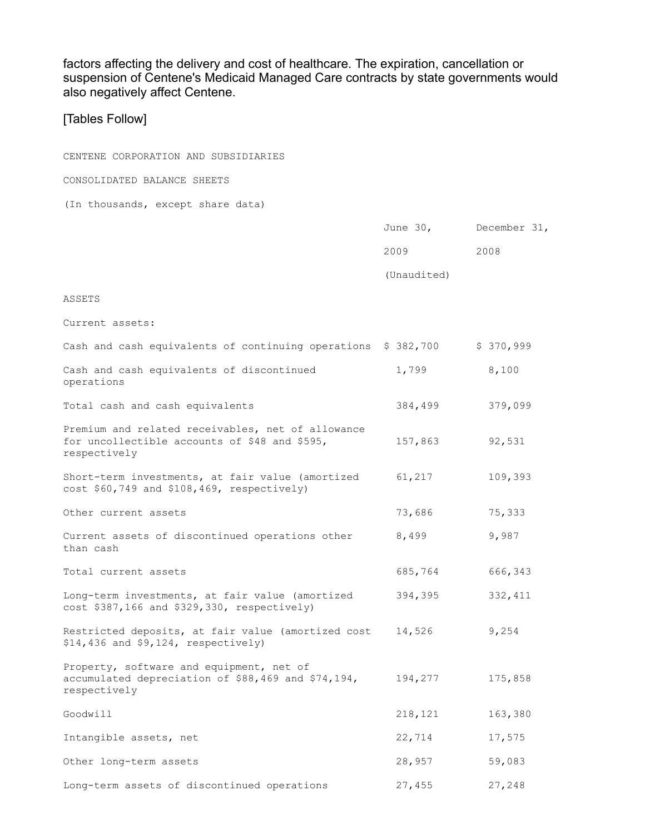factors affecting the delivery and cost of healthcare. The expiration, cancellation or suspension of Centene's Medicaid Managed Care contracts by state governments would also negatively affect Centene.

## [Tables Follow]

| CENTENE CORPORATION AND SUBSIDIARIES                                                                               |             |              |
|--------------------------------------------------------------------------------------------------------------------|-------------|--------------|
| CONSOLIDATED BALANCE SHEETS                                                                                        |             |              |
| (In thousands, except share data)                                                                                  |             |              |
|                                                                                                                    | June $30$ , | December 31, |
|                                                                                                                    | 2009        | 2008         |
|                                                                                                                    | (Unaudited) |              |
| ASSETS                                                                                                             |             |              |
| Current assets:                                                                                                    |             |              |
| Cash and cash equivalents of continuing operations \$ 382,700                                                      |             | \$370,999    |
| Cash and cash equivalents of discontinued<br>operations                                                            | 1,799       | 8,100        |
| Total cash and cash equivalents                                                                                    | 384,499     | 379,099      |
| Premium and related receivables, net of allowance<br>for uncollectible accounts of \$48 and \$595,<br>respectively | 157,863     | 92,531       |
| Short-term investments, at fair value (amortized<br>cost \$60,749 and \$108,469, respectively)                     | 61,217      | 109,393      |
| Other current assets                                                                                               | 73,686      | 75,333       |
| Current assets of discontinued operations other<br>than cash                                                       | 8,499       | 9,987        |
| Total current assets                                                                                               | 685,764     | 666,343      |
| Long-term investments, at fair value (amortized<br>cost \$387,166 and \$329,330, respectively)                     | 394,395     | 332, 411     |
| Restricted deposits, at fair value (amortized cost<br>$$14,436$ and $$9,124$ , respectively)                       | 14,526      | 9,254        |
| Property, software and equipment, net of<br>accumulated depreciation of \$88,469 and \$74,194,<br>respectively     | 194,277     | 175,858      |
| Goodwill                                                                                                           | 218,121     | 163,380      |
| Intangible assets, net                                                                                             | 22,714      | 17,575       |
| Other long-term assets                                                                                             | 28,957      | 59,083       |
| Long-term assets of discontinued operations                                                                        | 27,455      | 27,248       |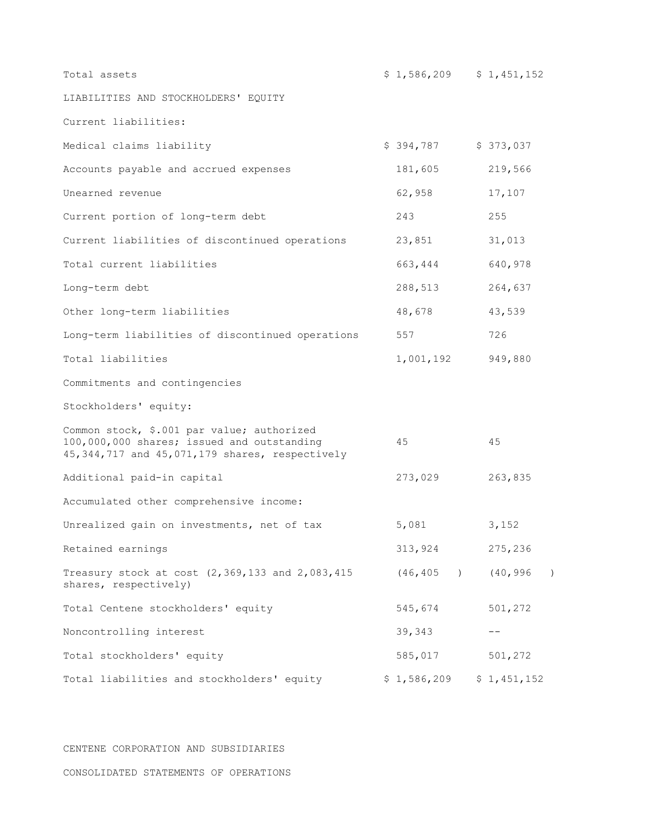| Total assets                                                                                                                                   | $$1,586,209$ $$1,451,152$ |             |                  |
|------------------------------------------------------------------------------------------------------------------------------------------------|---------------------------|-------------|------------------|
| LIABILITIES AND STOCKHOLDERS' EQUITY                                                                                                           |                           |             |                  |
| Current liabilities:                                                                                                                           |                           |             |                  |
| Medical claims liability                                                                                                                       | $$394,787$ $$373,037$     |             |                  |
| Accounts payable and accrued expenses                                                                                                          | 181,605                   | 219,566     |                  |
| Unearned revenue                                                                                                                               | 62,958                    | 17,107      |                  |
| Current portion of long-term debt                                                                                                              | 243                       | 255         |                  |
| Current liabilities of discontinued operations                                                                                                 | 23,851                    | 31,013      |                  |
| Total current liabilities                                                                                                                      | 663,444                   | 640,978     |                  |
| Long-term debt                                                                                                                                 | 288,513                   | 264,637     |                  |
| Other long-term liabilities                                                                                                                    | 48,678                    | 43,539      |                  |
| Long-term liabilities of discontinued operations                                                                                               | 557                       | 726         |                  |
| Total liabilities                                                                                                                              | 1,001,192                 | 949,880     |                  |
| Commitments and contingencies                                                                                                                  |                           |             |                  |
| Stockholders' equity:                                                                                                                          |                           |             |                  |
| Common stock, \$.001 par value; authorized<br>100,000,000 shares; issued and outstanding<br>45, 344, 717 and 45, 071, 179 shares, respectively | 45                        | 45          |                  |
| Additional paid-in capital                                                                                                                     | 273,029                   | 263,835     |                  |
| Accumulated other comprehensive income:                                                                                                        |                           |             |                  |
| Unrealized gain on investments, net of tax                                                                                                     | 5,081                     | 3,152       |                  |
| Retained earnings                                                                                                                              | 313,924                   | 275,236     |                  |
| Treasury stock at cost (2,369,133 and 2,083,415<br>shares, respectively)                                                                       | (46, 405)                 | (40, 996)   | $\left( \right)$ |
| Total Centene stockholders' equity                                                                                                             | 545,674                   | 501,272     |                  |
| Noncontrolling interest                                                                                                                        | 39,343                    |             |                  |
| Total stockholders' equity                                                                                                                     | 585,017                   | 501,272     |                  |
| Total liabilities and stockholders' equity                                                                                                     | \$1,586,209               | \$1,451,152 |                  |

CENTENE CORPORATION AND SUBSIDIARIES

CONSOLIDATED STATEMENTS OF OPERATIONS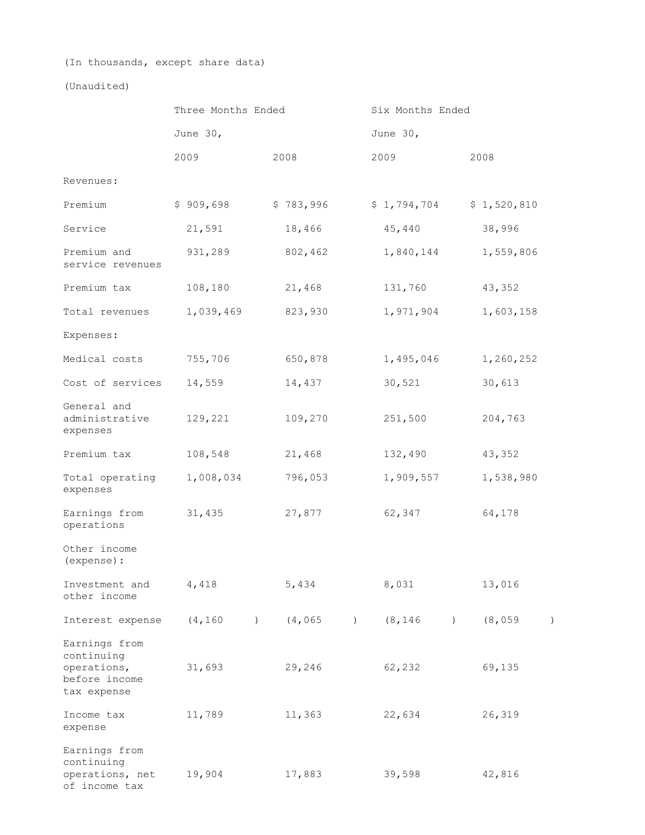(In thousands, except share data)

(Unaudited)

|                                                                            | Three Months Ended |           |                  | Six Months Ended |                  |          |             |                  |  |             |                  |  |
|----------------------------------------------------------------------------|--------------------|-----------|------------------|------------------|------------------|----------|-------------|------------------|--|-------------|------------------|--|
|                                                                            |                    | June 30,  |                  |                  |                  | June 30, |             |                  |  |             |                  |  |
|                                                                            |                    | 2009      |                  | 2008             |                  |          | 2009        |                  |  | 2008        |                  |  |
| Revenues:                                                                  |                    |           |                  |                  |                  |          |             |                  |  |             |                  |  |
| Premium                                                                    |                    | \$909,698 |                  | \$783,996        |                  |          | \$1,794,704 |                  |  | \$1,520,810 |                  |  |
| Service                                                                    |                    | 21,591    |                  | 18,466           |                  |          | 45,440      |                  |  | 38,996      |                  |  |
| Premium and<br>service revenues                                            |                    | 931,289   |                  | 802,462          |                  |          | 1,840,144   |                  |  | 1,559,806   |                  |  |
| Premium tax                                                                |                    | 108,180   |                  | 21,468           |                  |          | 131,760     |                  |  | 43,352      |                  |  |
| Total revenues                                                             |                    | 1,039,469 |                  | 823,930          |                  |          | 1,971,904   |                  |  | 1,603,158   |                  |  |
| Expenses:                                                                  |                    |           |                  |                  |                  |          |             |                  |  |             |                  |  |
| Medical costs                                                              |                    | 755,706   |                  | 650,878          |                  |          | 1,495,046   |                  |  | 1,260,252   |                  |  |
| Cost of services                                                           |                    | 14,559    |                  | 14,437           |                  |          | 30,521      |                  |  | 30,613      |                  |  |
| General and<br>administrative<br>expenses                                  |                    | 129,221   |                  | 109,270          |                  |          | 251,500     |                  |  | 204,763     |                  |  |
| Premium tax                                                                |                    | 108,548   |                  | 21,468           |                  |          | 132,490     |                  |  | 43,352      |                  |  |
| Total operating<br>expenses                                                |                    | 1,008,034 |                  | 796,053          |                  |          | 1,909,557   |                  |  | 1,538,980   |                  |  |
| Earnings from<br>operations                                                |                    | 31,435    |                  | 27,877           |                  |          | 62,347      |                  |  | 64,178      |                  |  |
| Other income<br>(expense) :                                                |                    |           |                  |                  |                  |          |             |                  |  |             |                  |  |
| Investment and<br>other income                                             |                    | 4,418     |                  | 5,434            |                  |          | 8,031       |                  |  | 13,016      |                  |  |
| Interest expense                                                           |                    | (4, 160)  | $\left( \right)$ | (4, 065)         | $\left( \right)$ |          | (8, 146)    | $\left( \right)$ |  | (8,059)     | $\left( \right)$ |  |
| Earnings from<br>continuing<br>operations,<br>before income<br>tax expense |                    | 31,693    |                  | 29,246           |                  |          | 62,232      |                  |  | 69,135      |                  |  |
| Income tax<br>expense                                                      |                    | 11,789    |                  | 11,363           |                  |          | 22,634      |                  |  | 26,319      |                  |  |
| Earnings from<br>continuing<br>operations, net<br>of income tax            |                    | 19,904    |                  | 17,883           |                  |          | 39,598      |                  |  | 42,816      |                  |  |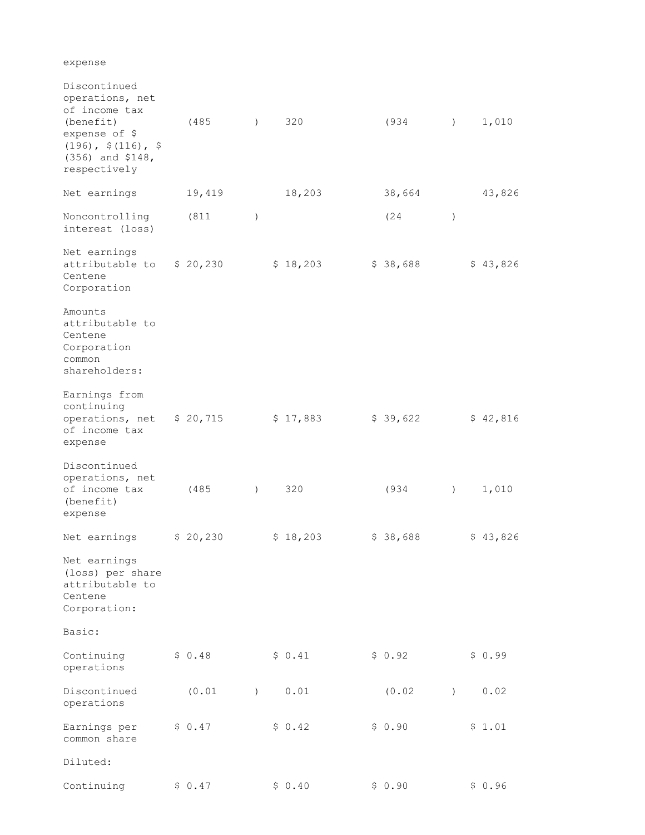expense

| Discontinued<br>operations, net<br>of income tax<br>(benefit)<br>expense of \$<br>$(196)$ , $(116)$ , \$<br>$(356)$ and \$148,<br>respectively | (485)    | $\left( \right)$ | 320      | (934     | $\lambda$        | 1,010    |
|------------------------------------------------------------------------------------------------------------------------------------------------|----------|------------------|----------|----------|------------------|----------|
| Net earnings                                                                                                                                   | 19,419   |                  | 18,203   | 38,664   |                  | 43,826   |
| Noncontrolling<br>interest (loss)                                                                                                              | (811)    | $\lambda$        |          | (24)     | $\lambda$        |          |
| Net earnings<br>attributable to<br>Centene<br>Corporation                                                                                      | \$20,230 |                  | \$18,203 | \$38,688 |                  | \$43,826 |
| Amounts<br>attributable to<br>Centene<br>Corporation<br>common<br>shareholders:                                                                |          |                  |          |          |                  |          |
| Earnings from<br>continuing<br>operations, net<br>of income tax<br>expense                                                                     | \$20,715 |                  | \$17,883 | \$39,622 |                  | \$42,816 |
| Discontinued<br>operations, net<br>of income tax<br>(benefit)<br>expense                                                                       | (485)    | $\left( \right)$ | 320      | (934     | $\left( \right)$ | 1,010    |
| Net earnings                                                                                                                                   | \$20,230 |                  | \$18,203 | \$38,688 |                  | \$43,826 |
| Net earnings<br>(loss) per share<br>attributable to<br>Centene<br>Corporation:                                                                 |          |                  |          |          |                  |          |
| Basic:                                                                                                                                         |          |                  |          |          |                  |          |
| Continuing<br>operations                                                                                                                       | \$0.48   |                  | \$0.41   | \$0.92   |                  | \$0.99   |
| Discontinued<br>operations                                                                                                                     | (0.01)   | $\left( \right)$ | 0.01     | (0.02)   | $\left( \right)$ | 0.02     |
| Earnings per<br>common share                                                                                                                   | \$0.47   |                  | \$0.42   | \$0.90   |                  | \$1.01   |
| Diluted:                                                                                                                                       |          |                  |          |          |                  |          |
| Continuing                                                                                                                                     | \$0.47   |                  | \$0.40   | \$0.90   |                  | \$0.96   |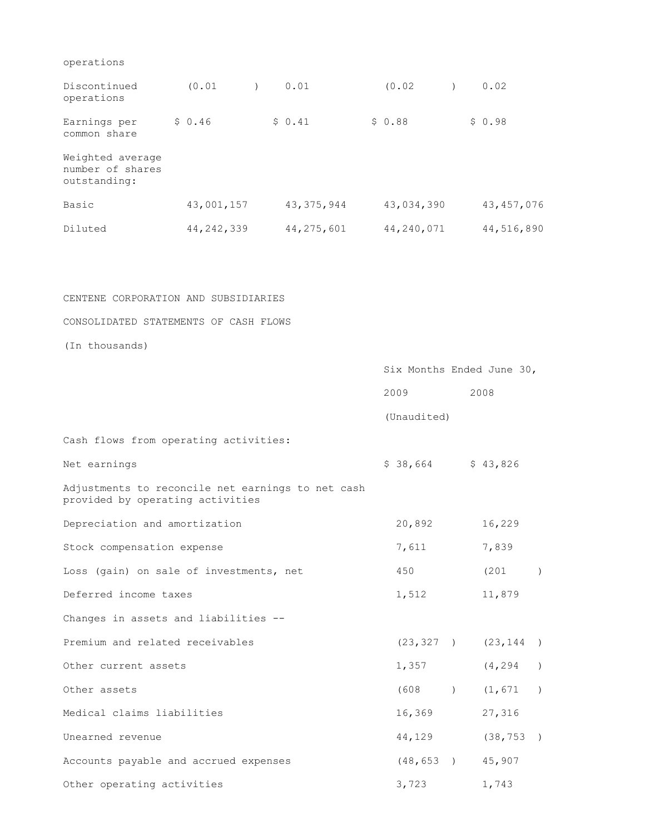| Discontinued<br>operations                           | (0.01)       |  | 0.01         | (0.02)     |  | 0.02         |
|------------------------------------------------------|--------------|--|--------------|------------|--|--------------|
| Earnings per<br>common share                         | \$0.46       |  | \$0.41       | \$0.88     |  | \$0.98       |
| Weighted average<br>number of shares<br>outstanding: |              |  |              |            |  |              |
| Basic                                                | 43,001,157   |  | 43, 375, 944 | 43,034,390 |  | 43, 457, 076 |
| Diluted                                              | 44, 242, 339 |  | 44, 275, 601 | 44,240,071 |  | 44,516,890   |

CENTENE CORPORATION AND SUBSIDIARIES

#### CONSOLIDATED STATEMENTS OF CASH FLOWS

(In thousands)

|                                                                                       | Six Months Ended June 30, |               |                         |               |  |
|---------------------------------------------------------------------------------------|---------------------------|---------------|-------------------------|---------------|--|
|                                                                                       | 2009                      |               | 2008                    |               |  |
|                                                                                       | (Unaudited)               |               |                         |               |  |
| Cash flows from operating activities:                                                 |                           |               |                         |               |  |
| Net earnings                                                                          | $$38,664$ $$43,826$       |               |                         |               |  |
| Adjustments to reconcile net earnings to net cash<br>provided by operating activities |                           |               |                         |               |  |
| Depreciation and amortization                                                         | 20,892                    |               | 16,229                  |               |  |
| Stock compensation expense                                                            | 7,611                     |               | 7,839                   |               |  |
| Loss (gain) on sale of investments, net                                               | 450                       |               | (201                    | $\lambda$     |  |
| Deferred income taxes                                                                 | 1,512                     |               | 11,879                  |               |  |
| Changes in assets and liabilities --                                                  |                           |               |                         |               |  |
| Premium and related receivables                                                       |                           |               | $(23, 327)$ $(23, 144)$ |               |  |
| Other current assets                                                                  | 1,357                     |               | (4, 294)                | $\rightarrow$ |  |
| Other assets                                                                          |                           |               | $(608)$ $(1,671)$       |               |  |
| Medical claims liabilities                                                            | 16,369                    |               | 27,316                  |               |  |
| Unearned revenue                                                                      | 44,129                    |               | (38, 753)               |               |  |
| Accounts payable and accrued expenses                                                 | (48, 653)                 | $\rightarrow$ | 45,907                  |               |  |
| Other operating activities                                                            | 3,723                     |               | 1,743                   |               |  |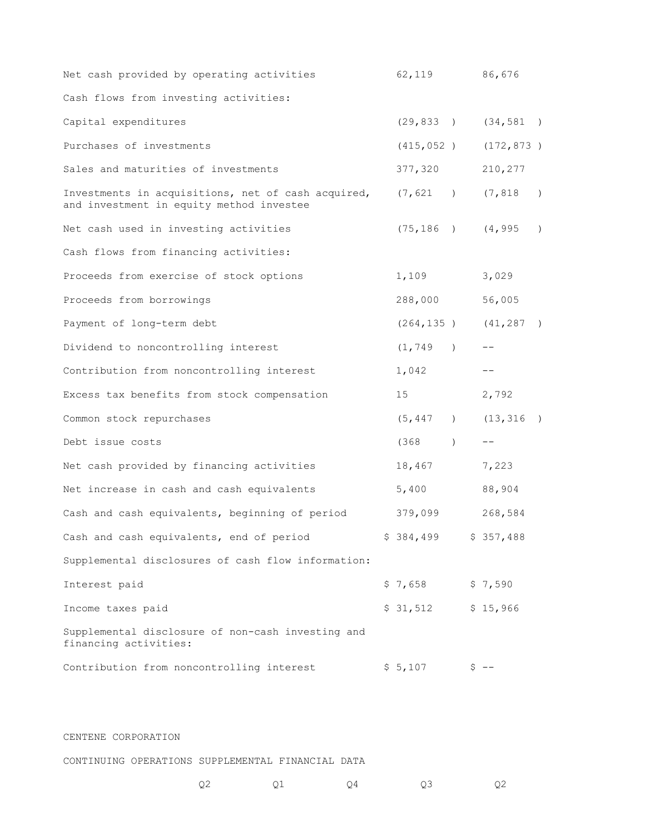| Net cash provided by operating activities                                                      | 62,119                   |               |         | 86,676     |               |
|------------------------------------------------------------------------------------------------|--------------------------|---------------|---------|------------|---------------|
| Cash flows from investing activities:                                                          |                          |               |         |            |               |
| Capital expenditures                                                                           | $(29, 833)$ $(34, 581)$  |               |         |            |               |
| Purchases of investments                                                                       | (415, 052)               |               |         | (172, 873) |               |
| Sales and maturities of investments                                                            | 377,320                  |               |         | 210,277    |               |
| Investments in acquisitions, net of cash acquired,<br>and investment in equity method investee | (7, 621)                 |               |         | (7, 818)   | $\rightarrow$ |
| Net cash used in investing activities                                                          | (75, 186)                |               |         | (4, 995)   | $\lambda$     |
| Cash flows from financing activities:                                                          |                          |               |         |            |               |
| Proceeds from exercise of stock options                                                        | 1,109                    |               |         | 3,029      |               |
| Proceeds from borrowings                                                                       | 288,000                  |               |         | 56,005     |               |
| Payment of long-term debt                                                                      | $(264, 135)$ $(41, 287)$ |               |         |            | $\rightarrow$ |
| Dividend to noncontrolling interest                                                            | (1, 749)                 |               |         |            |               |
| Contribution from noncontrolling interest                                                      | 1,042                    |               |         |            |               |
| Excess tax benefits from stock compensation                                                    | 15                       |               |         | 2,792      |               |
| Common stock repurchases                                                                       | (5, 447)                 |               |         | (13, 316)  |               |
| Debt issue costs                                                                               | (368)                    | $\rightarrow$ |         | $- -$      |               |
| Net cash provided by financing activities                                                      | 18,467                   |               |         | 7,223      |               |
| Net increase in cash and cash equivalents                                                      | 5,400                    |               |         | 88,904     |               |
| Cash and cash equivalents, beginning of period                                                 | 379,099                  |               |         | 268,584    |               |
| Cash and cash equivalents, end of period                                                       | \$384,499                |               |         | \$357,488  |               |
| Supplemental disclosures of cash flow information:                                             |                          |               |         |            |               |
| Interest paid                                                                                  | $$7,658$ $$7,590$        |               |         |            |               |
| Income taxes paid                                                                              | \$31,512                 |               |         | \$15,966   |               |
| Supplemental disclosure of non-cash investing and<br>financing activities:                     |                          |               |         |            |               |
| Contribution from noncontrolling interest                                                      | \$5,107                  |               | $S$ $-$ |            |               |

CENTENE CORPORATION

CONTINUING OPERATIONS SUPPLEMENTAL FINANCIAL DATA

| $\sim$ $\sim$<br>◡▵ | Q4<br>⊻∸ | U3 | Q <sub>2</sub> |
|---------------------|----------|----|----------------|
|---------------------|----------|----|----------------|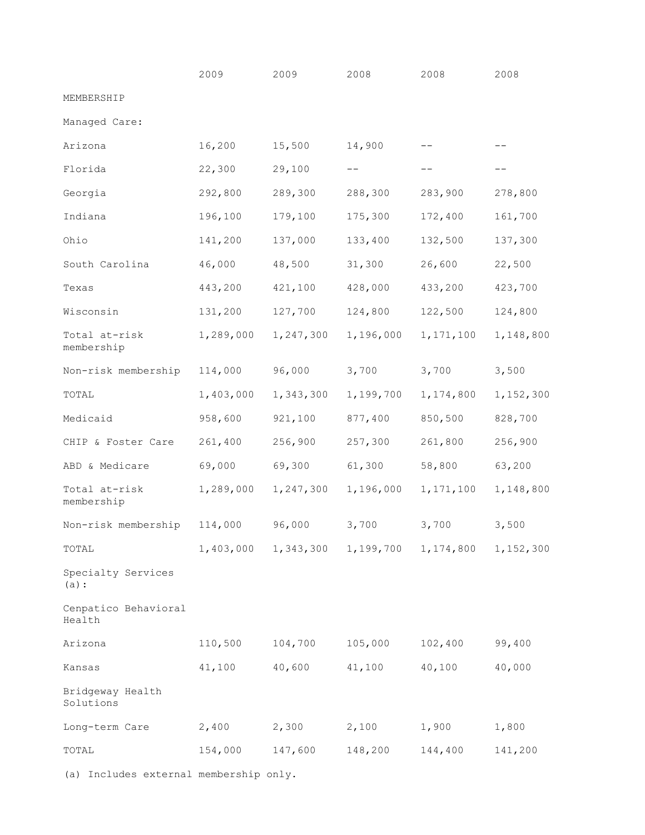|                                        | 2009      | 2009                | 2008                | 2008        | 2008      |
|----------------------------------------|-----------|---------------------|---------------------|-------------|-----------|
| MEMBERSHIP                             |           |                     |                     |             |           |
| Managed Care:                          |           |                     |                     |             |           |
| Arizona                                | 16,200    | 15,500              | 14,900              |             |           |
| Florida                                | 22,300    | 29,100              | $- -$               | $- -$       | $- -$     |
| Georgia                                | 292,800   | 289,300             | 288,300             | 283,900     | 278,800   |
| Indiana                                | 196,100   | 179,100             | 175,300             | 172,400     | 161,700   |
| Ohio                                   | 141,200   | 137,000             | 133,400             | 132,500     | 137,300   |
| South Carolina                         | 46,000    | 48,500              | 31,300              | 26,600      | 22,500    |
| Texas                                  | 443,200   | 421,100             | 428,000             | 433,200     | 423,700   |
| Wisconsin                              | 131,200   | 127,700             | 124,800             | 122,500     | 124,800   |
| Total at-risk<br>membership            | 1,289,000 | 1,247,300           | 1,196,000           | 1, 171, 100 | 1,148,800 |
| Non-risk membership                    | 114,000   | 96,000              | 3,700               | 3,700       | 3,500     |
| TOTAL                                  | 1,403,000 | 1,343,300           | 1,199,700           | 1,174,800   | 1,152,300 |
| Medicaid                               | 958,600   | 921,100             | 877,400             | 850,500     | 828,700   |
| CHIP & Foster Care                     | 261,400   | 256,900             | 257,300             | 261,800     | 256,900   |
| ABD & Medicare                         | 69,000    | 69,300              | 61,300              | 58,800      | 63,200    |
| Total at-risk<br>membership            | 1,289,000 | 1,247,300           | 1,196,000           | 1,171,100   | 1,148,800 |
| Non-risk membership                    | 114,000   | 96,000              | 3,700               | 3,700       | 3,500     |
| TOTAL                                  |           | 1,403,000 1,343,300 | 1,199,700 1,174,800 |             | 1,152,300 |
| Specialty Services<br>$(a)$ :          |           |                     |                     |             |           |
| Cenpatico Behavioral<br>Health         |           |                     |                     |             |           |
| Arizona                                | 110,500   | 104,700             | 105,000             | 102,400     | 99,400    |
| Kansas                                 | 41,100    | 40,600              | 41,100              | 40,100      | 40,000    |
| Bridgeway Health<br>Solutions          |           |                     |                     |             |           |
| Long-term Care                         | 2,400     | 2,300               | 2,100               | 1,900       | 1,800     |
| TOTAL                                  | 154,000   | 147,600             | 148,200             | 144,400     | 141,200   |
| (a) Includes external membership only. |           |                     |                     |             |           |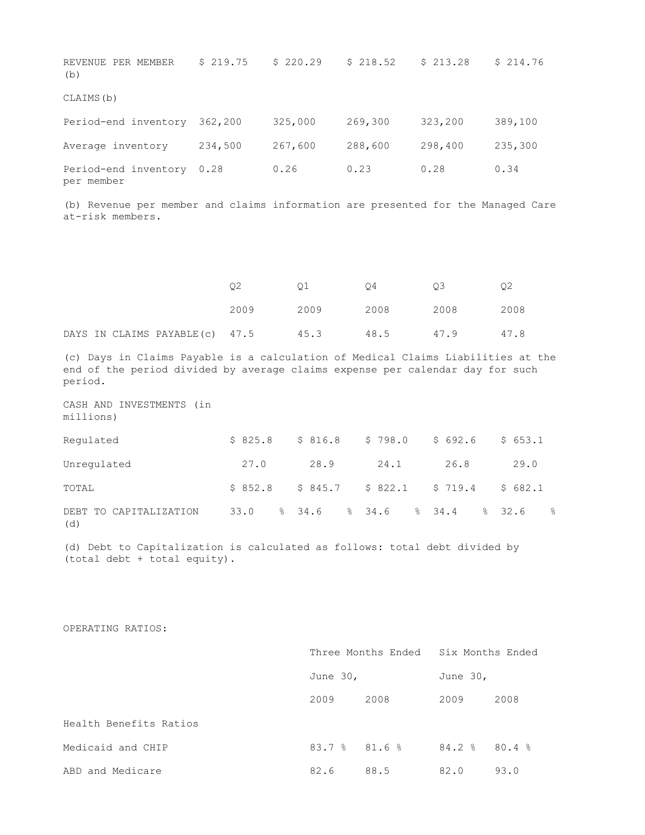| REVENUE PER MEMBER<br>(b)          | \$219.75 | \$220.29 | \$218.52 | \$213.28 | \$214.76 |
|------------------------------------|----------|----------|----------|----------|----------|
| CLAIMS (b)                         |          |          |          |          |          |
| Period-end inventory               | 362,200  | 325,000  | 269,300  | 323,200  | 389,100  |
| Average inventory                  | 234,500  | 267,600  | 288,600  | 298,400  | 235,300  |
| Period-end inventory<br>per member | 0.28     | 0.26     | 0.23     | 0.28     | 0.34     |

(b) Revenue per member and claims information are presented for the Managed Care at-risk members.

|  |                                     |      |      | O4   | O3   |      |
|--|-------------------------------------|------|------|------|------|------|
|  |                                     | 2009 | 2009 | 2008 | 2008 | 2008 |
|  | DAYS IN CLAIMS PAYABLE(c) 47.5 45.3 |      |      | 48.5 | 47.9 | 47.8 |

(c) Days in Claims Payable is a calculation of Medical Claims Liabilities at the end of the period divided by average claims expense per calendar day for such period.

CASH AND INVESTMENTS (in millions)

| Requlated                     |      | $$825.8$ $$816.8$ $$798.0$ $$692.6$ |      |      | \$653.1 |
|-------------------------------|------|-------------------------------------|------|------|---------|
| Unregulated                   | 27.0 | 28.9                                | 24.1 | 26.8 | 29.0    |
| TOTAL                         |      | $$852.8$ $$845.7$ $$822.1$ $$719.4$ |      |      | \$682.1 |
| DEBT TO CAPITALIZATION<br>(d) |      | 33.0 % 34.6 % 34.6 % 34.4 % 32.6 %  |      |      |         |

(d) Debt to Capitalization is calculated as follows: total debt divided by (total debt + total equity).

OPERATING RATIOS:

|                        |                 | Three Months Ended | Six Months Ended |       |  |
|------------------------|-----------------|--------------------|------------------|-------|--|
|                        | June $30r$      |                    | June $30r$       |       |  |
|                        | 2009            | 2008               | 2009             | 2008  |  |
| Health Benefits Ratios |                 |                    |                  |       |  |
| Medicaid and CHIP      | $83.78$ $81.68$ |                    | 84.2%            | 80.4% |  |
| ABD and Medicare       | 82.6            | 88.5               | 82.0             | 93.0  |  |